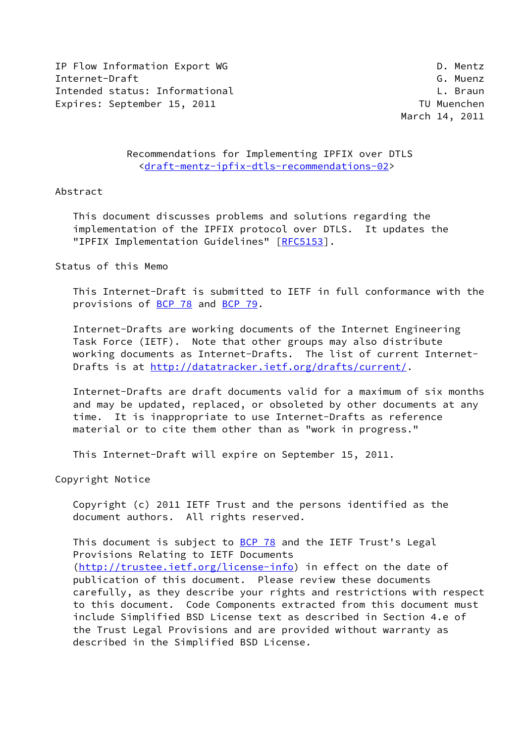IP Flow Information Export WG D. Mentz Internet-Draft G. Muenz Intended status: Informational Letter Controller and L. Braun Expires: September 15, 2011 and the contract of the TU Muenchen

March 14, 2011

 Recommendations for Implementing IPFIX over DTLS <[draft-mentz-ipfix-dtls-recommendations-02>](https://datatracker.ietf.org/doc/pdf/draft-mentz-ipfix-dtls-recommendations-02)

### Abstract

 This document discusses problems and solutions regarding the implementation of the IPFIX protocol over DTLS. It updates the "IPFIX Implementation Guidelines" [[RFC5153](https://datatracker.ietf.org/doc/pdf/rfc5153)].

## Status of this Memo

 This Internet-Draft is submitted to IETF in full conformance with the provisions of [BCP 78](https://datatracker.ietf.org/doc/pdf/bcp78) and [BCP 79](https://datatracker.ietf.org/doc/pdf/bcp79).

 Internet-Drafts are working documents of the Internet Engineering Task Force (IETF). Note that other groups may also distribute working documents as Internet-Drafts. The list of current Internet Drafts is at<http://datatracker.ietf.org/drafts/current/>.

 Internet-Drafts are draft documents valid for a maximum of six months and may be updated, replaced, or obsoleted by other documents at any time. It is inappropriate to use Internet-Drafts as reference material or to cite them other than as "work in progress."

This Internet-Draft will expire on September 15, 2011.

Copyright Notice

 Copyright (c) 2011 IETF Trust and the persons identified as the document authors. All rights reserved.

This document is subject to [BCP 78](https://datatracker.ietf.org/doc/pdf/bcp78) and the IETF Trust's Legal Provisions Relating to IETF Documents [\(http://trustee.ietf.org/license-info](http://trustee.ietf.org/license-info)) in effect on the date of publication of this document. Please review these documents carefully, as they describe your rights and restrictions with respect to this document. Code Components extracted from this document must include Simplified BSD License text as described in Section 4.e of the Trust Legal Provisions and are provided without warranty as described in the Simplified BSD License.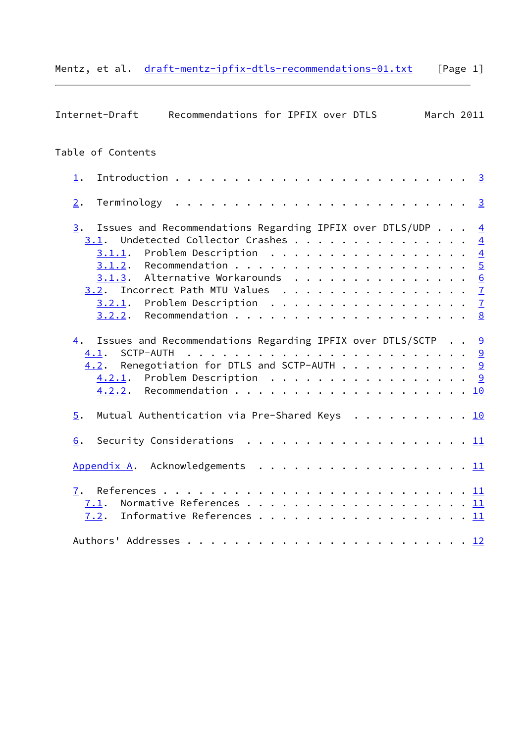|  |  |  |  | Mentz, et al. draft-mentz-ipfix-dtls-recommendations-01.txt | [Page 1] |
|--|--|--|--|-------------------------------------------------------------|----------|
|--|--|--|--|-------------------------------------------------------------|----------|

| Recommendations for IPFIX over DTLS<br>Internet-Draft                                                                                                                                                                                                                                                          | March 2011 |                |
|----------------------------------------------------------------------------------------------------------------------------------------------------------------------------------------------------------------------------------------------------------------------------------------------------------------|------------|----------------|
| Table of Contents                                                                                                                                                                                                                                                                                              |            |                |
| $\perp$ .                                                                                                                                                                                                                                                                                                      |            |                |
| 2.                                                                                                                                                                                                                                                                                                             |            |                |
| Issues and Recommendations Regarding IPFIX over DTLS/UDP $4$<br>3.<br>Undetected Collector Crashes<br>3.1.<br>Problem Description $\ldots \ldots \ldots \ldots \ldots \ldots$<br>3.1.1.<br>3.1.3. Alternative Workarounds 6<br>$3.2$ . Incorrect Path MTU Values $\frac{7}{2}$<br>3.2.1. Problem Description 7 |            | $\overline{4}$ |
| Issues and Recommendations Regarding IPFIX over DTLS/SCTP 9<br>4.<br>SCTP-AUTH<br>4.1.<br>$4.2$ . Renegotiation for DTLS and SCTP-AUTH 9<br>4.2.1. Problem Description 9                                                                                                                                       |            |                |
| Mutual Authentication via Pre-Shared Keys 10<br>5.                                                                                                                                                                                                                                                             |            |                |
| Security Considerations $\cdots$ 11<br>6.                                                                                                                                                                                                                                                                      |            |                |
| Appendix A. Acknowledgements 11                                                                                                                                                                                                                                                                                |            |                |
| 7.<br>Normative References 11<br>7.1.<br>Informative References 11<br>7.2.                                                                                                                                                                                                                                     |            |                |
|                                                                                                                                                                                                                                                                                                                |            |                |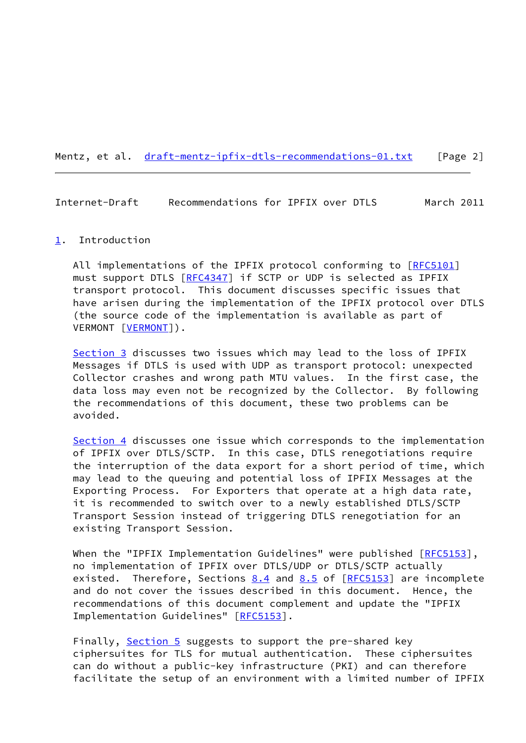Mentz, et al. [draft-mentz-ipfix-dtls-recommendations-01.txt](https://datatracker.ietf.org/doc/pdf/draft-mentz-ipfix-dtls-recommendations-01.txt) [Page 2]

<span id="page-2-1"></span>Internet-Draft Recommendations for IPFIX over DTLS March 2011

#### <span id="page-2-0"></span>[1](#page-2-0). Introduction

All implementations of the IPFIX protocol conforming to [\[RFC5101](https://datatracker.ietf.org/doc/pdf/rfc5101)] must support DTLS [[RFC4347](https://datatracker.ietf.org/doc/pdf/rfc4347)] if SCTP or UDP is selected as IPFIX transport protocol. This document discusses specific issues that have arisen during the implementation of the IPFIX protocol over DTLS (the source code of the implementation is available as part of VERMONT [\[VERMONT](#page-13-0)]).

[Section 3](#page-3-1) discusses two issues which may lead to the loss of IPFIX Messages if DTLS is used with UDP as transport protocol: unexpected Collector crashes and wrong path MTU values. In the first case, the data loss may even not be recognized by the Collector. By following the recommendations of this document, these two problems can be avoided.

[Section 4](#page-9-0) discusses one issue which corresponds to the implementation of IPFIX over DTLS/SCTP. In this case, DTLS renegotiations require the interruption of the data export for a short period of time, which may lead to the queuing and potential loss of IPFIX Messages at the Exporting Process. For Exporters that operate at a high data rate, it is recommended to switch over to a newly established DTLS/SCTP Transport Session instead of triggering DTLS renegotiation for an existing Transport Session.

When the "IPFIX Implementation Guidelines" were published [[RFC5153](https://datatracker.ietf.org/doc/pdf/rfc5153)], no implementation of IPFIX over DTLS/UDP or DTLS/SCTP actually existed. Therefore, Sections  $8.4$  and  $8.5$  of  $[REC5153]$  are incomplete and do not cover the issues described in this document. Hence, the recommendations of this document complement and update the "IPFIX Implementation Guidelines" [[RFC5153\]](https://datatracker.ietf.org/doc/pdf/rfc5153).

Finally, [Section 5](#page-10-2) suggests to support the pre-shared key ciphersuites for TLS for mutual authentication. These ciphersuites can do without a public-key infrastructure (PKI) and can therefore facilitate the setup of an environment with a limited number of IPFIX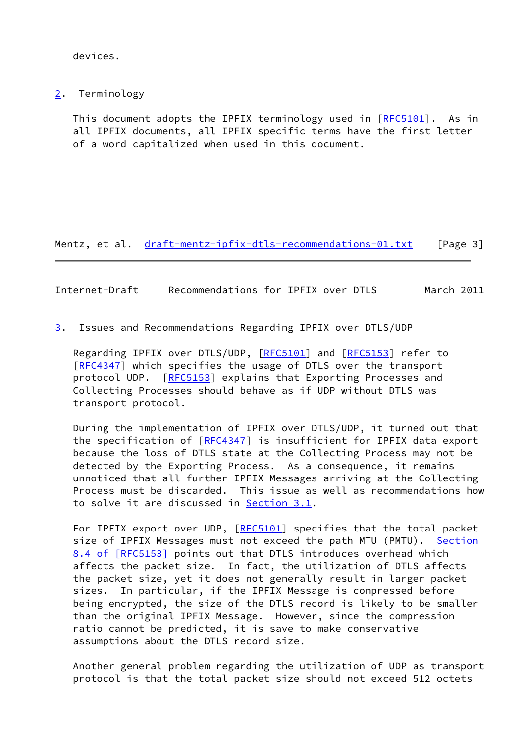devices.

<span id="page-3-0"></span>[2](#page-3-0). Terminology

This document adopts the IPFIX terminology used in [[RFC5101\]](https://datatracker.ietf.org/doc/pdf/rfc5101). As in all IPFIX documents, all IPFIX specific terms have the first letter of a word capitalized when used in this document.

Mentz, et al. [draft-mentz-ipfix-dtls-recommendations-01.txt](https://datatracker.ietf.org/doc/pdf/draft-mentz-ipfix-dtls-recommendations-01.txt) [Page 3]

<span id="page-3-2"></span>Internet-Draft Recommendations for IPFIX over DTLS March 2011

<span id="page-3-1"></span>[3](#page-3-1). Issues and Recommendations Regarding IPFIX over DTLS/UDP

Regarding IPFIX over DTLS/UDP, [\[RFC5101](https://datatracker.ietf.org/doc/pdf/rfc5101)] and [\[RFC5153](https://datatracker.ietf.org/doc/pdf/rfc5153)] refer to [\[RFC4347](https://datatracker.ietf.org/doc/pdf/rfc4347)] which specifies the usage of DTLS over the transport protocol UDP. [\[RFC5153](https://datatracker.ietf.org/doc/pdf/rfc5153)] explains that Exporting Processes and Collecting Processes should behave as if UDP without DTLS was transport protocol.

 During the implementation of IPFIX over DTLS/UDP, it turned out that the specification of [\[RFC4347](https://datatracker.ietf.org/doc/pdf/rfc4347)] is insufficient for IPFIX data export because the loss of DTLS state at the Collecting Process may not be detected by the Exporting Process. As a consequence, it remains unnoticed that all further IPFIX Messages arriving at the Collecting Process must be discarded. This issue as well as recommendations how to solve it are discussed in [Section 3.1](#page-4-0).

For IPFIX export over UDP, [[RFC5101\]](https://datatracker.ietf.org/doc/pdf/rfc5101) specifies that the total packet size of IPFIX Messages must not exceed the path MTU (PMTU). [Section](https://datatracker.ietf.org/doc/pdf/rfc5153#section-8.4) [8.4 of \[RFC5153\]](https://datatracker.ietf.org/doc/pdf/rfc5153#section-8.4) points out that DTLS introduces overhead which affects the packet size. In fact, the utilization of DTLS affects the packet size, yet it does not generally result in larger packet sizes. In particular, if the IPFIX Message is compressed before being encrypted, the size of the DTLS record is likely to be smaller than the original IPFIX Message. However, since the compression ratio cannot be predicted, it is save to make conservative assumptions about the DTLS record size.

 Another general problem regarding the utilization of UDP as transport protocol is that the total packet size should not exceed 512 octets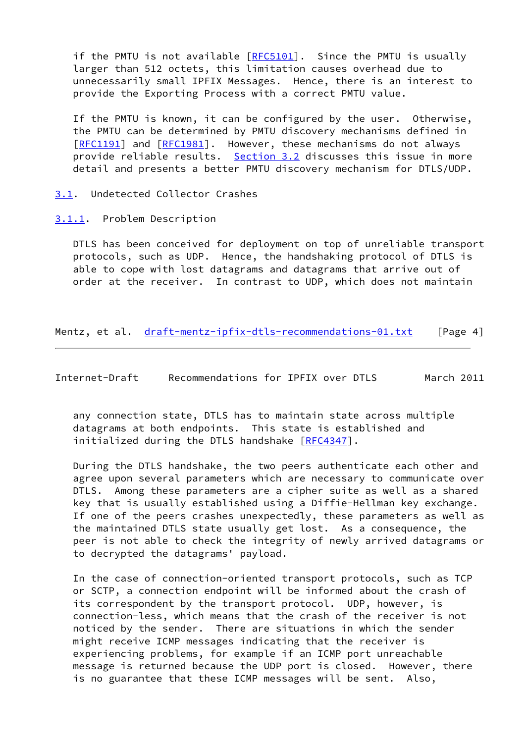if the PMTU is not available [\[RFC5101](https://datatracker.ietf.org/doc/pdf/rfc5101)]. Since the PMTU is usually larger than 512 octets, this limitation causes overhead due to unnecessarily small IPFIX Messages. Hence, there is an interest to provide the Exporting Process with a correct PMTU value.

 If the PMTU is known, it can be configured by the user. Otherwise, the PMTU can be determined by PMTU discovery mechanisms defined in [\[RFC1191](https://datatracker.ietf.org/doc/pdf/rfc1191)] and [[RFC1981](https://datatracker.ietf.org/doc/pdf/rfc1981)]. However, these mechanisms do not always provide reliable results. [Section 3.2](#page-7-0) discusses this issue in more detail and presents a better PMTU discovery mechanism for DTLS/UDP.

<span id="page-4-0"></span>[3.1](#page-4-0). Undetected Collector Crashes

<span id="page-4-1"></span>[3.1.1](#page-4-1). Problem Description

 DTLS has been conceived for deployment on top of unreliable transport protocols, such as UDP. Hence, the handshaking protocol of DTLS is able to cope with lost datagrams and datagrams that arrive out of order at the receiver. In contrast to UDP, which does not maintain

Mentz, et al. [draft-mentz-ipfix-dtls-recommendations-01.txt](https://datatracker.ietf.org/doc/pdf/draft-mentz-ipfix-dtls-recommendations-01.txt) [Page 4]

<span id="page-4-2"></span>Internet-Draft Recommendations for IPFIX over DTLS March 2011

 any connection state, DTLS has to maintain state across multiple datagrams at both endpoints. This state is established and initialized during the DTLS handshake [[RFC4347](https://datatracker.ietf.org/doc/pdf/rfc4347)].

 During the DTLS handshake, the two peers authenticate each other and agree upon several parameters which are necessary to communicate over DTLS. Among these parameters are a cipher suite as well as a shared key that is usually established using a Diffie-Hellman key exchange. If one of the peers crashes unexpectedly, these parameters as well as the maintained DTLS state usually get lost. As a consequence, the peer is not able to check the integrity of newly arrived datagrams or to decrypted the datagrams' payload.

 In the case of connection-oriented transport protocols, such as TCP or SCTP, a connection endpoint will be informed about the crash of its correspondent by the transport protocol. UDP, however, is connection-less, which means that the crash of the receiver is not noticed by the sender. There are situations in which the sender might receive ICMP messages indicating that the receiver is experiencing problems, for example if an ICMP port unreachable message is returned because the UDP port is closed. However, there is no guarantee that these ICMP messages will be sent. Also,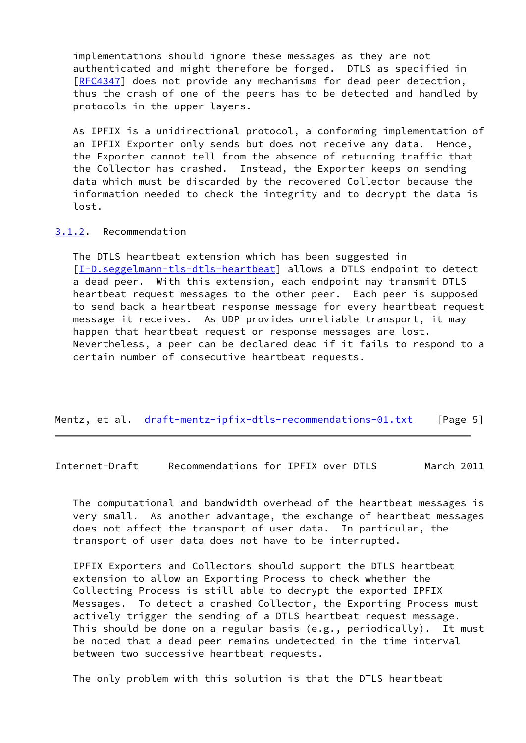implementations should ignore these messages as they are not authenticated and might therefore be forged. DTLS as specified in [\[RFC4347](https://datatracker.ietf.org/doc/pdf/rfc4347)] does not provide any mechanisms for dead peer detection, thus the crash of one of the peers has to be detected and handled by protocols in the upper layers.

 As IPFIX is a unidirectional protocol, a conforming implementation of an IPFIX Exporter only sends but does not receive any data. Hence, the Exporter cannot tell from the absence of returning traffic that the Collector has crashed. Instead, the Exporter keeps on sending data which must be discarded by the recovered Collector because the information needed to check the integrity and to decrypt the data is lost.

#### <span id="page-5-0"></span>[3.1.2](#page-5-0). Recommendation

 The DTLS heartbeat extension which has been suggested in [\[I-D.seggelmann-tls-dtls-heartbeat](#page-13-1)] allows a DTLS endpoint to detect a dead peer. With this extension, each endpoint may transmit DTLS heartbeat request messages to the other peer. Each peer is supposed to send back a heartbeat response message for every heartbeat request message it receives. As UDP provides unreliable transport, it may happen that heartbeat request or response messages are lost. Nevertheless, a peer can be declared dead if it fails to respond to a certain number of consecutive heartbeat requests.

#### Mentz, et al. [draft-mentz-ipfix-dtls-recommendations-01.txt](https://datatracker.ietf.org/doc/pdf/draft-mentz-ipfix-dtls-recommendations-01.txt) [Page 5]

<span id="page-5-1"></span>Internet-Draft Recommendations for IPFIX over DTLS March 2011

 The computational and bandwidth overhead of the heartbeat messages is very small. As another advantage, the exchange of heartbeat messages does not affect the transport of user data. In particular, the transport of user data does not have to be interrupted.

 IPFIX Exporters and Collectors should support the DTLS heartbeat extension to allow an Exporting Process to check whether the Collecting Process is still able to decrypt the exported IPFIX Messages. To detect a crashed Collector, the Exporting Process must actively trigger the sending of a DTLS heartbeat request message. This should be done on a regular basis (e.g., periodically). It must be noted that a dead peer remains undetected in the time interval between two successive heartbeat requests.

The only problem with this solution is that the DTLS heartbeat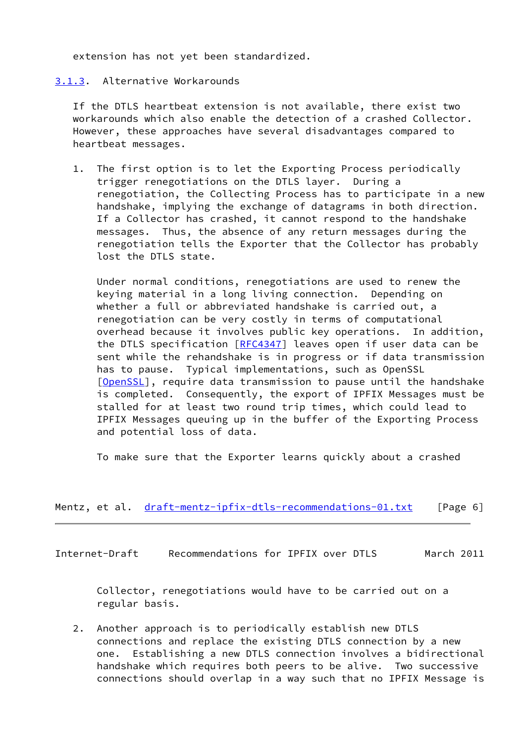extension has not yet been standardized.

## <span id="page-6-0"></span>[3.1.3](#page-6-0). Alternative Workarounds

 If the DTLS heartbeat extension is not available, there exist two workarounds which also enable the detection of a crashed Collector. However, these approaches have several disadvantages compared to heartbeat messages.

 1. The first option is to let the Exporting Process periodically trigger renegotiations on the DTLS layer. During a renegotiation, the Collecting Process has to participate in a new handshake, implying the exchange of datagrams in both direction. If a Collector has crashed, it cannot respond to the handshake messages. Thus, the absence of any return messages during the renegotiation tells the Exporter that the Collector has probably lost the DTLS state.

 Under normal conditions, renegotiations are used to renew the keying material in a long living connection. Depending on whether a full or abbreviated handshake is carried out, a renegotiation can be very costly in terms of computational overhead because it involves public key operations. In addition, the DTLS specification [[RFC4347\]](https://datatracker.ietf.org/doc/pdf/rfc4347) leaves open if user data can be sent while the rehandshake is in progress or if data transmission has to pause. Typical implementations, such as OpenSSL [\[OpenSSL](#page-13-2)], require data transmission to pause until the handshake is completed. Consequently, the export of IPFIX Messages must be stalled for at least two round trip times, which could lead to IPFIX Messages queuing up in the buffer of the Exporting Process and potential loss of data.

To make sure that the Exporter learns quickly about a crashed

## Mentz, et al. [draft-mentz-ipfix-dtls-recommendations-01.txt](https://datatracker.ietf.org/doc/pdf/draft-mentz-ipfix-dtls-recommendations-01.txt) [Page 6]

<span id="page-6-1"></span>Internet-Draft Recommendations for IPFIX over DTLS March 2011

 Collector, renegotiations would have to be carried out on a regular basis.

 2. Another approach is to periodically establish new DTLS connections and replace the existing DTLS connection by a new one. Establishing a new DTLS connection involves a bidirectional handshake which requires both peers to be alive. Two successive connections should overlap in a way such that no IPFIX Message is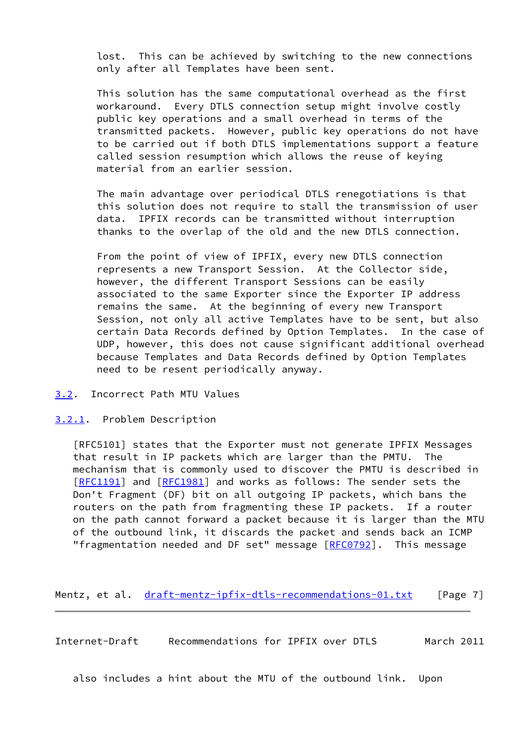lost. This can be achieved by switching to the new connections only after all Templates have been sent.

 This solution has the same computational overhead as the first workaround. Every DTLS connection setup might involve costly public key operations and a small overhead in terms of the transmitted packets. However, public key operations do not have to be carried out if both DTLS implementations support a feature called session resumption which allows the reuse of keying material from an earlier session.

 The main advantage over periodical DTLS renegotiations is that this solution does not require to stall the transmission of user data. IPFIX records can be transmitted without interruption thanks to the overlap of the old and the new DTLS connection.

 From the point of view of IPFIX, every new DTLS connection represents a new Transport Session. At the Collector side, however, the different Transport Sessions can be easily associated to the same Exporter since the Exporter IP address remains the same. At the beginning of every new Transport Session, not only all active Templates have to be sent, but also certain Data Records defined by Option Templates. In the case of UDP, however, this does not cause significant additional overhead because Templates and Data Records defined by Option Templates need to be resent periodically anyway.

- <span id="page-7-0"></span>[3.2](#page-7-0). Incorrect Path MTU Values
- <span id="page-7-1"></span>[3.2.1](#page-7-1). Problem Description

 [RFC5101] states that the Exporter must not generate IPFIX Messages that result in IP packets which are larger than the PMTU. The mechanism that is commonly used to discover the PMTU is described in [\[RFC1191](https://datatracker.ietf.org/doc/pdf/rfc1191)] and [[RFC1981](https://datatracker.ietf.org/doc/pdf/rfc1981)] and works as follows: The sender sets the Don't Fragment (DF) bit on all outgoing IP packets, which bans the routers on the path from fragmenting these IP packets. If a router on the path cannot forward a packet because it is larger than the MTU of the outbound link, it discards the packet and sends back an ICMP "fragmentation needed and DF set" message [[RFC0792](https://datatracker.ietf.org/doc/pdf/rfc0792)]. This message

Mentz, et al. [draft-mentz-ipfix-dtls-recommendations-01.txt](https://datatracker.ietf.org/doc/pdf/draft-mentz-ipfix-dtls-recommendations-01.txt) [Page 7]

<span id="page-7-2"></span>Internet-Draft Recommendations for IPFIX over DTLS March 2011

also includes a hint about the MTU of the outbound link. Upon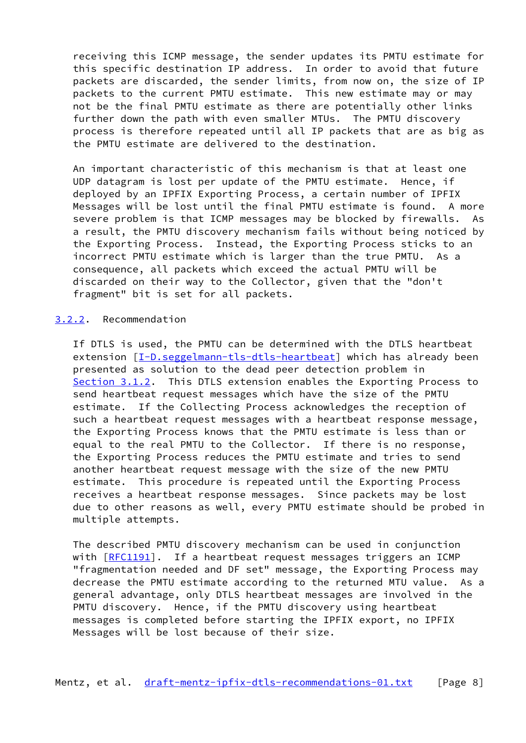receiving this ICMP message, the sender updates its PMTU estimate for this specific destination IP address. In order to avoid that future packets are discarded, the sender limits, from now on, the size of IP packets to the current PMTU estimate. This new estimate may or may not be the final PMTU estimate as there are potentially other links further down the path with even smaller MTUs. The PMTU discovery process is therefore repeated until all IP packets that are as big as the PMTU estimate are delivered to the destination.

 An important characteristic of this mechanism is that at least one UDP datagram is lost per update of the PMTU estimate. Hence, if deployed by an IPFIX Exporting Process, a certain number of IPFIX Messages will be lost until the final PMTU estimate is found. A more severe problem is that ICMP messages may be blocked by firewalls. As a result, the PMTU discovery mechanism fails without being noticed by the Exporting Process. Instead, the Exporting Process sticks to an incorrect PMTU estimate which is larger than the true PMTU. As a consequence, all packets which exceed the actual PMTU will be discarded on their way to the Collector, given that the "don't fragment" bit is set for all packets.

### <span id="page-8-0"></span>[3.2.2](#page-8-0). Recommendation

 If DTLS is used, the PMTU can be determined with the DTLS heartbeat extension [[I-D.seggelmann-tls-dtls-heartbeat\]](#page-13-1) which has already been presented as solution to the dead peer detection problem in [Section 3.1.2](#page-5-0). This DTLS extension enables the Exporting Process to send heartbeat request messages which have the size of the PMTU estimate. If the Collecting Process acknowledges the reception of such a heartbeat request messages with a heartbeat response message, the Exporting Process knows that the PMTU estimate is less than or equal to the real PMTU to the Collector. If there is no response, the Exporting Process reduces the PMTU estimate and tries to send another heartbeat request message with the size of the new PMTU estimate. This procedure is repeated until the Exporting Process receives a heartbeat response messages. Since packets may be lost due to other reasons as well, every PMTU estimate should be probed in multiple attempts.

 The described PMTU discovery mechanism can be used in conjunction with  $[REC1191]$ . If a heartbeat request messages triggers an ICMP "fragmentation needed and DF set" message, the Exporting Process may decrease the PMTU estimate according to the returned MTU value. As a general advantage, only DTLS heartbeat messages are involved in the PMTU discovery. Hence, if the PMTU discovery using heartbeat messages is completed before starting the IPFIX export, no IPFIX Messages will be lost because of their size.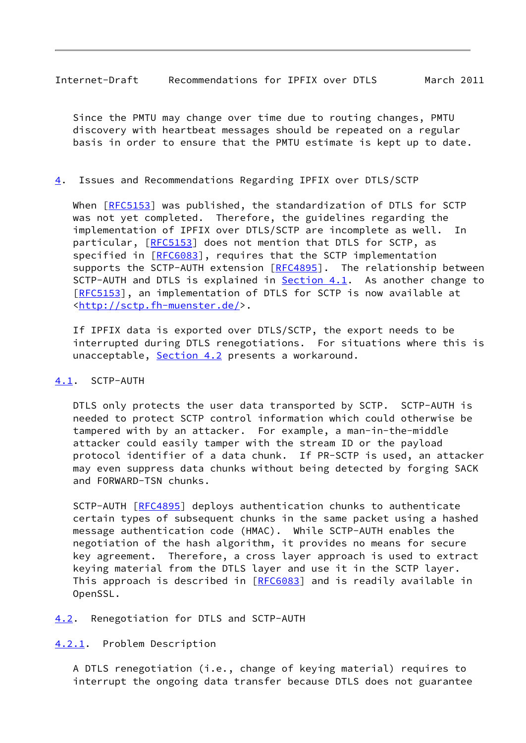<span id="page-9-1"></span>Internet-Draft Recommendations for IPFIX over DTLS March 2011

 Since the PMTU may change over time due to routing changes, PMTU discovery with heartbeat messages should be repeated on a regular basis in order to ensure that the PMTU estimate is kept up to date.

## <span id="page-9-0"></span>[4](#page-9-0). Issues and Recommendations Regarding IPFIX over DTLS/SCTP

 When [\[RFC5153](https://datatracker.ietf.org/doc/pdf/rfc5153)] was published, the standardization of DTLS for SCTP was not yet completed. Therefore, the guidelines regarding the implementation of IPFIX over DTLS/SCTP are incomplete as well. In particular, [\[RFC5153](https://datatracker.ietf.org/doc/pdf/rfc5153)] does not mention that DTLS for SCTP, as specified in [\[RFC6083](https://datatracker.ietf.org/doc/pdf/rfc6083)], requires that the SCTP implementation supports the SCTP-AUTH extension [\[RFC4895](https://datatracker.ietf.org/doc/pdf/rfc4895)]. The relationship between SCTP-AUTH and DTLS is explained in **[Section 4.1](#page-9-2).** As another change to [\[RFC5153](https://datatracker.ietf.org/doc/pdf/rfc5153)], an implementation of DTLS for SCTP is now available at [<http://sctp.fh-muenster.de/](http://sctp.fh-muenster.de/)>.

 If IPFIX data is exported over DTLS/SCTP, the export needs to be interrupted during DTLS renegotiations. For situations where this is unacceptable, [Section 4.2](#page-9-3) presents a workaround.

## <span id="page-9-2"></span>[4.1](#page-9-2). SCTP-AUTH

 DTLS only protects the user data transported by SCTP. SCTP-AUTH is needed to protect SCTP control information which could otherwise be tampered with by an attacker. For example, a man-in-the-middle attacker could easily tamper with the stream ID or the payload protocol identifier of a data chunk. If PR-SCTP is used, an attacker may even suppress data chunks without being detected by forging SACK and FORWARD-TSN chunks.

 SCTP-AUTH [[RFC4895](https://datatracker.ietf.org/doc/pdf/rfc4895)] deploys authentication chunks to authenticate certain types of subsequent chunks in the same packet using a hashed message authentication code (HMAC). While SCTP-AUTH enables the negotiation of the hash algorithm, it provides no means for secure key agreement. Therefore, a cross layer approach is used to extract keying material from the DTLS layer and use it in the SCTP layer. This approach is described in [[RFC6083](https://datatracker.ietf.org/doc/pdf/rfc6083)] and is readily available in OpenSSL.

<span id="page-9-3"></span>[4.2](#page-9-3). Renegotiation for DTLS and SCTP-AUTH

<span id="page-9-4"></span>[4.2.1](#page-9-4). Problem Description

 A DTLS renegotiation (i.e., change of keying material) requires to interrupt the ongoing data transfer because DTLS does not guarantee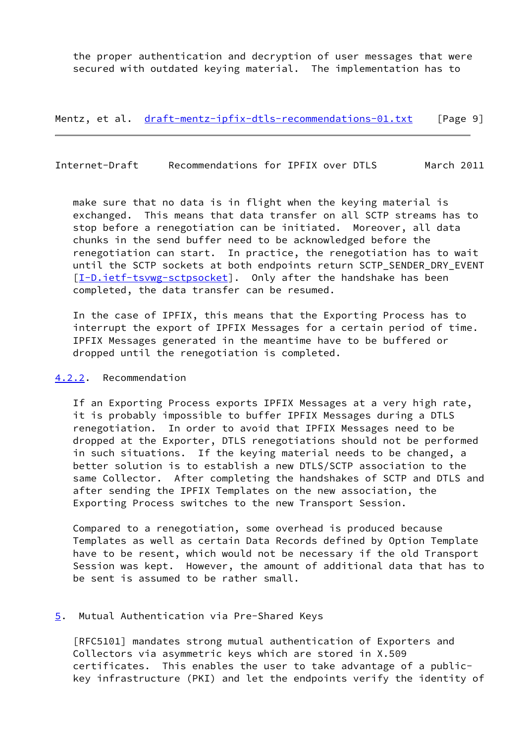the proper authentication and decryption of user messages that were secured with outdated keying material. The implementation has to

Mentz, et al. [draft-mentz-ipfix-dtls-recommendations-01.txt](https://datatracker.ietf.org/doc/pdf/draft-mentz-ipfix-dtls-recommendations-01.txt) [Page 9]

<span id="page-10-1"></span>Internet-Draft Recommendations for IPFIX over DTLS March 2011

 make sure that no data is in flight when the keying material is exchanged. This means that data transfer on all SCTP streams has to stop before a renegotiation can be initiated. Moreover, all data chunks in the send buffer need to be acknowledged before the renegotiation can start. In practice, the renegotiation has to wait until the SCTP sockets at both endpoints return SCTP\_SENDER\_DRY\_EVENT [\[I-D.ietf-tsvwg-sctpsocket](#page-13-3)]. Only after the handshake has been completed, the data transfer can be resumed.

 In the case of IPFIX, this means that the Exporting Process has to interrupt the export of IPFIX Messages for a certain period of time. IPFIX Messages generated in the meantime have to be buffered or dropped until the renegotiation is completed.

### <span id="page-10-0"></span>[4.2.2](#page-10-0). Recommendation

 If an Exporting Process exports IPFIX Messages at a very high rate, it is probably impossible to buffer IPFIX Messages during a DTLS renegotiation. In order to avoid that IPFIX Messages need to be dropped at the Exporter, DTLS renegotiations should not be performed in such situations. If the keying material needs to be changed, a better solution is to establish a new DTLS/SCTP association to the same Collector. After completing the handshakes of SCTP and DTLS and after sending the IPFIX Templates on the new association, the Exporting Process switches to the new Transport Session.

 Compared to a renegotiation, some overhead is produced because Templates as well as certain Data Records defined by Option Template have to be resent, which would not be necessary if the old Transport Session was kept. However, the amount of additional data that has to be sent is assumed to be rather small.

#### <span id="page-10-2"></span>[5](#page-10-2). Mutual Authentication via Pre-Shared Keys

 [RFC5101] mandates strong mutual authentication of Exporters and Collectors via asymmetric keys which are stored in X.509 certificates. This enables the user to take advantage of a public key infrastructure (PKI) and let the endpoints verify the identity of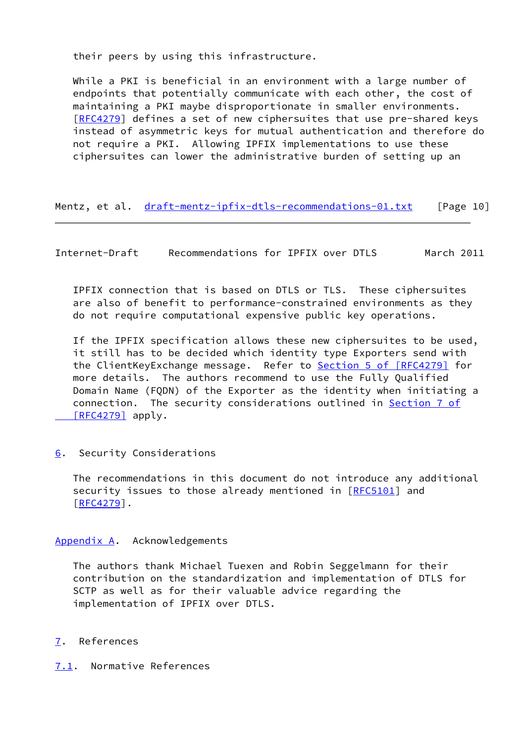their peers by using this infrastructure.

 While a PKI is beneficial in an environment with a large number of endpoints that potentially communicate with each other, the cost of maintaining a PKI maybe disproportionate in smaller environments. [\[RFC4279](https://datatracker.ietf.org/doc/pdf/rfc4279)] defines a set of new ciphersuites that use pre-shared keys instead of asymmetric keys for mutual authentication and therefore do not require a PKI. Allowing IPFIX implementations to use these ciphersuites can lower the administrative burden of setting up an

Mentz, et al. [draft-mentz-ipfix-dtls-recommendations-01.txt](https://datatracker.ietf.org/doc/pdf/draft-mentz-ipfix-dtls-recommendations-01.txt) [Page 10]

<span id="page-11-1"></span>Internet-Draft Recommendations for IPFIX over DTLS March 2011

 IPFIX connection that is based on DTLS or TLS. These ciphersuites are also of benefit to performance-constrained environments as they do not require computational expensive public key operations.

 If the IPFIX specification allows these new ciphersuites to be used, it still has to be decided which identity type Exporters send with the ClientKeyExchange message. Refer to Section [5 of \[RFC4279\]](https://datatracker.ietf.org/doc/pdf/rfc4279#section-5) for more details. The authors recommend to use the Fully Qualified Domain Name (FQDN) of the Exporter as the identity when initiating a connection. The security considerations outlined in [Section](https://datatracker.ietf.org/doc/pdf/rfc4279#section-7) 7 of  [\[RFC4279\]](https://datatracker.ietf.org/doc/pdf/rfc4279#section-7) apply.

<span id="page-11-0"></span>[6](#page-11-0). Security Considerations

 The recommendations in this document do not introduce any additional security issues to those already mentioned in [[RFC5101](https://datatracker.ietf.org/doc/pdf/rfc5101)] and [\[RFC4279](https://datatracker.ietf.org/doc/pdf/rfc4279)].

# <span id="page-11-2"></span>[Appendix A.](#page-11-2) Acknowledgements

 The authors thank Michael Tuexen and Robin Seggelmann for their contribution on the standardization and implementation of DTLS for SCTP as well as for their valuable advice regarding the implementation of IPFIX over DTLS.

# <span id="page-11-3"></span>[7](#page-11-3). References

<span id="page-11-4"></span>[7.1](#page-11-4). Normative References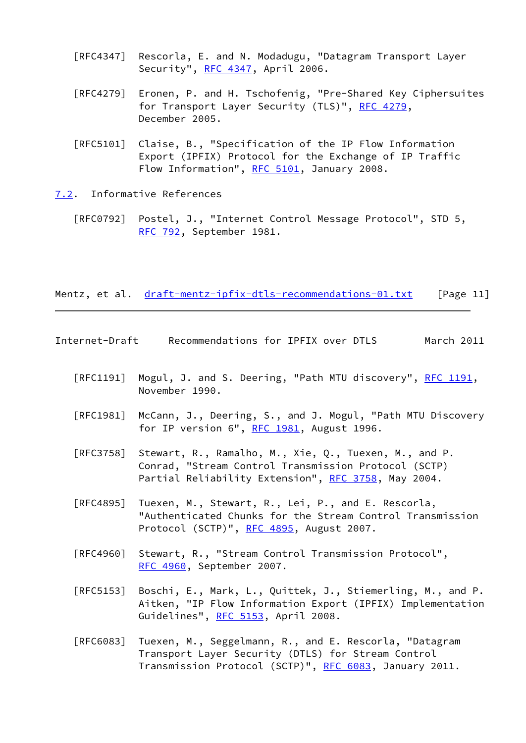- [RFC4347] Rescorla, E. and N. Modadugu, "Datagram Transport Layer Security", [RFC 4347](https://datatracker.ietf.org/doc/pdf/rfc4347), April 2006.
- [RFC4279] Eronen, P. and H. Tschofenig, "Pre-Shared Key Ciphersuites for Transport Layer Security (TLS)", [RFC 4279](https://datatracker.ietf.org/doc/pdf/rfc4279), December 2005.
- [RFC5101] Claise, B., "Specification of the IP Flow Information Export (IPFIX) Protocol for the Exchange of IP Traffic Flow Information", [RFC 5101](https://datatracker.ietf.org/doc/pdf/rfc5101), January 2008.

## <span id="page-12-0"></span>[7.2](#page-12-0). Informative References

 [RFC0792] Postel, J., "Internet Control Message Protocol", STD 5, [RFC 792](https://datatracker.ietf.org/doc/pdf/rfc792), September 1981.

Mentz, et al. [draft-mentz-ipfix-dtls-recommendations-01.txt](https://datatracker.ietf.org/doc/pdf/draft-mentz-ipfix-dtls-recommendations-01.txt) [Page 11]

<span id="page-12-1"></span>

| Internet-Draft | Recommendations for IPFIX over DTLS |  |  | March 2011 |  |
|----------------|-------------------------------------|--|--|------------|--|
|                |                                     |  |  |            |  |

- [RFC1191] Mogul, J. and S. Deering, "Path MTU discovery", [RFC 1191,](https://datatracker.ietf.org/doc/pdf/rfc1191) November 1990.
- [RFC1981] McCann, J., Deering, S., and J. Mogul, "Path MTU Discovery for IP version  $6"$ , [RFC 1981](https://datatracker.ietf.org/doc/pdf/rfc1981), August 1996.
- [RFC3758] Stewart, R., Ramalho, M., Xie, Q., Tuexen, M., and P. Conrad, "Stream Control Transmission Protocol (SCTP) Partial Reliability Extension", [RFC 3758,](https://datatracker.ietf.org/doc/pdf/rfc3758) May 2004.
- [RFC4895] Tuexen, M., Stewart, R., Lei, P., and E. Rescorla, "Authenticated Chunks for the Stream Control Transmission Protocol (SCTP)", [RFC 4895](https://datatracker.ietf.org/doc/pdf/rfc4895), August 2007.
- [RFC4960] Stewart, R., "Stream Control Transmission Protocol", [RFC 4960,](https://datatracker.ietf.org/doc/pdf/rfc4960) September 2007.
- [RFC5153] Boschi, E., Mark, L., Quittek, J., Stiemerling, M., and P. Aitken, "IP Flow Information Export (IPFIX) Implementation Guidelines", [RFC 5153](https://datatracker.ietf.org/doc/pdf/rfc5153), April 2008.
- [RFC6083] Tuexen, M., Seggelmann, R., and E. Rescorla, "Datagram Transport Layer Security (DTLS) for Stream Control Transmission Protocol (SCTP)", [RFC 6083](https://datatracker.ietf.org/doc/pdf/rfc6083), January 2011.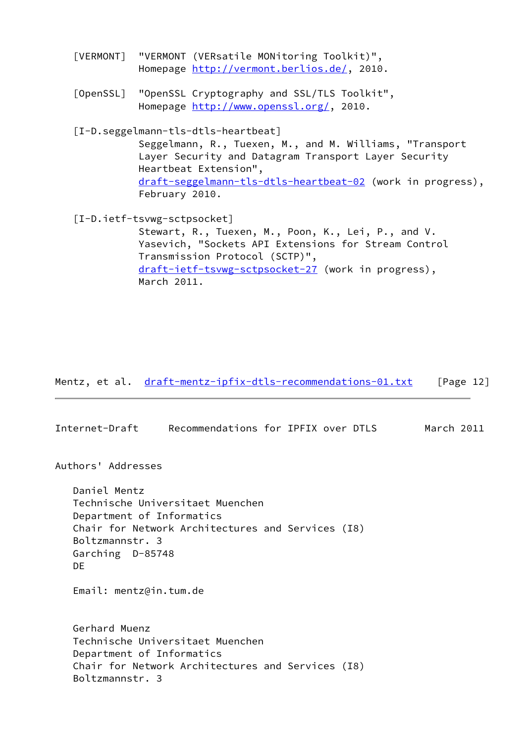<span id="page-13-2"></span><span id="page-13-1"></span><span id="page-13-0"></span> [VERMONT] "VERMONT (VERsatile MONitoring Toolkit)", Homepage [http://vermont.berlios.de/,](http://vermont.berlios.de/) 2010. [OpenSSL] "OpenSSL Cryptography and SSL/TLS Toolkit", Homepage [http://www.openssl.org/,](http://www.openssl.org/) 2010. [I-D.seggelmann-tls-dtls-heartbeat] Seggelmann, R., Tuexen, M., and M. Williams, "Transport Layer Security and Datagram Transport Layer Security Heartbeat Extension", [draft-seggelmann-tls-dtls-heartbeat-02](https://datatracker.ietf.org/doc/pdf/draft-seggelmann-tls-dtls-heartbeat-02) (work in progress), February 2010. [I-D.ietf-tsvwg-sctpsocket] Stewart, R., Tuexen, M., Poon, K., Lei, P., and V. Yasevich, "Sockets API Extensions for Stream Control Transmission Protocol (SCTP)", [draft-ietf-tsvwg-sctpsocket-27](https://datatracker.ietf.org/doc/pdf/draft-ietf-tsvwg-sctpsocket-27) (work in progress),

<span id="page-13-3"></span>March 2011.

Mentz, et al. [draft-mentz-ipfix-dtls-recommendations-01.txt](https://datatracker.ietf.org/doc/pdf/draft-mentz-ipfix-dtls-recommendations-01.txt) [Page 12]

Internet-Draft Recommendations for IPFIX over DTLS March 2011

Authors' Addresses

 Daniel Mentz Technische Universitaet Muenchen Department of Informatics Chair for Network Architectures and Services (I8) Boltzmannstr. 3 Garching D-85748 DE

Email: mentz@in.tum.de

 Gerhard Muenz Technische Universitaet Muenchen Department of Informatics Chair for Network Architectures and Services (I8) Boltzmannstr. 3